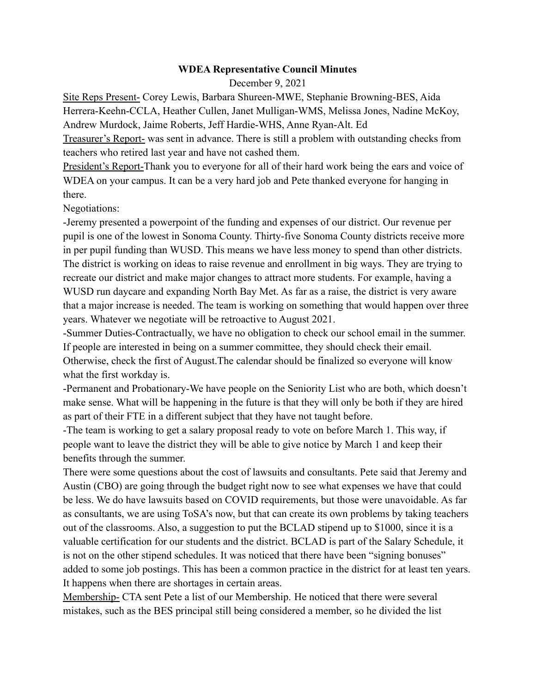## **WDEA Representative Council Minutes**

## December 9, 2021

Site Reps Present- Corey Lewis, Barbara Shureen-MWE, Stephanie Browning-BES, Aida Herrera-Keehn-CCLA, Heather Cullen, Janet Mulligan-WMS, Melissa Jones, Nadine McKoy, Andrew Murdock, Jaime Roberts, Jeff Hardie-WHS, Anne Ryan-Alt. Ed

Treasurer's Report- was sent in advance. There is still a problem with outstanding checks from teachers who retired last year and have not cashed them.

President's Report-Thank you to everyone for all of their hard work being the ears and voice of WDEA on your campus. It can be a very hard job and Pete thanked everyone for hanging in there.

Negotiations:

-Jeremy presented a powerpoint of the funding and expenses of our district. Our revenue per pupil is one of the lowest in Sonoma County. Thirty-five Sonoma County districts receive more in per pupil funding than WUSD. This means we have less money to spend than other districts. The district is working on ideas to raise revenue and enrollment in big ways. They are trying to recreate our district and make major changes to attract more students. For example, having a WUSD run daycare and expanding North Bay Met. As far as a raise, the district is very aware that a major increase is needed. The team is working on something that would happen over three years. Whatever we negotiate will be retroactive to August 2021.

-Summer Duties-Contractually, we have no obligation to check our school email in the summer. If people are interested in being on a summer committee, they should check their email. Otherwise, check the first of August.The calendar should be finalized so everyone will know what the first workday is.

-Permanent and Probationary-We have people on the Seniority List who are both, which doesn't make sense. What will be happening in the future is that they will only be both if they are hired as part of their FTE in a different subject that they have not taught before.

-The team is working to get a salary proposal ready to vote on before March 1. This way, if people want to leave the district they will be able to give notice by March 1 and keep their benefits through the summer.

There were some questions about the cost of lawsuits and consultants. Pete said that Jeremy and Austin (CBO) are going through the budget right now to see what expenses we have that could be less. We do have lawsuits based on COVID requirements, but those were unavoidable. As far as consultants, we are using ToSA's now, but that can create its own problems by taking teachers out of the classrooms. Also, a suggestion to put the BCLAD stipend up to \$1000, since it is a valuable certification for our students and the district. BCLAD is part of the Salary Schedule, it is not on the other stipend schedules. It was noticed that there have been "signing bonuses" added to some job postings. This has been a common practice in the district for at least ten years. It happens when there are shortages in certain areas.

Membership- CTA sent Pete a list of our Membership. He noticed that there were several mistakes, such as the BES principal still being considered a member, so he divided the list